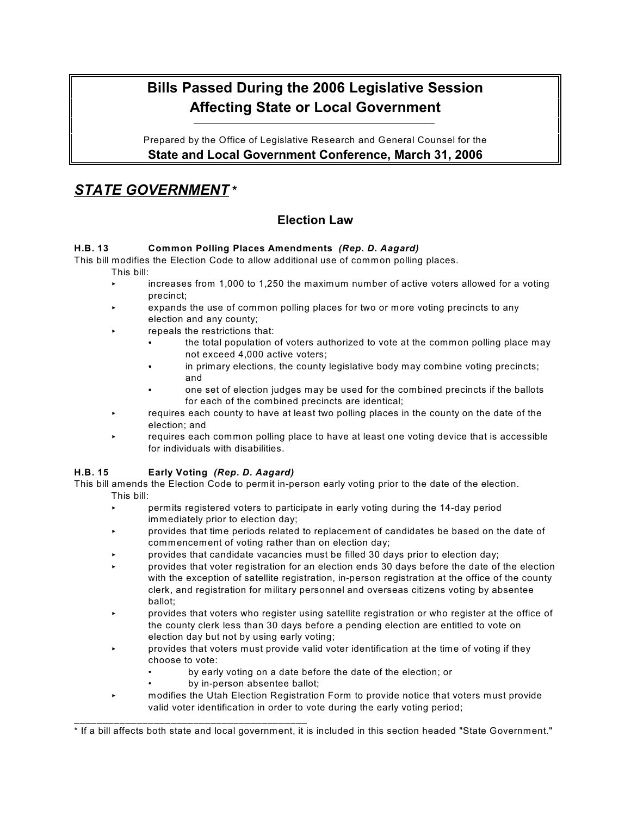# **Bills Passed During the 2006 Legislative Session Affecting State or Local Government**

Prepared by the Office of Legislative Research and General Counsel for the **State and Local Government Conference, March 31, 2006**

# *STATE GOVERNMENT* **\***

# **Election Law**

## **H.B. 13 Common Polling Places Amendments** *(Rep. D. Aagard)*

This bill modifies the Election Code to allow additional use of common polling places. This bill:

- < increases from 1,000 to 1,250 the maximum number of active voters allowed for a voting precinct;
- expands the use of common polling places for two or more voting precincts to any election and any county;
- repeals the restrictions that:
	- the total population of voters authorized to vote at the common polling place may not exceed 4,000 active voters;
	- in primary elections, the county legislative body may combine voting precincts; and
	- one set of election judges may be used for the combined precincts if the ballots for each of the combined precincts are identical;
- requires each county to have at least two polling places in the county on the date of the election; and
- requires each common polling place to have at least one voting device that is accessible for individuals with disabilities.

## **H.B. 15 Early Voting** *(Rep. D. Aagard)*

This bill amends the Election Code to permit in-person early voting prior to the date of the election. This bill:

- < permits registered voters to participate in early voting during the 14-day period immediately prior to election day;
- < provides that time periods related to replacement of candidates be based on the date of commencement of voting rather than on election day;
- provides that candidate vacancies must be filled 30 days prior to election day;
- < provides that voter registration for an election ends 30 days before the date of the election with the exception of satellite registration, in-person registration at the office of the county clerk, and registration for military personnel and overseas citizens voting by absentee ballot;
- < provides that voters who register using satellite registration or who register at the office of the county clerk less than 30 days before a pending election are entitled to vote on election day but not by using early voting;
- < provides that voters must provide valid voter identification at the time of voting if they choose to vote:
	- by early voting on a date before the date of the election; or
	- by in-person absentee ballot;

\_\_\_\_\_\_\_\_\_\_\_\_\_\_\_\_\_\_\_\_\_\_\_\_\_\_\_\_\_\_\_\_\_\_\_\_\_\_\_\_\_

< modifies the Utah Election Registration Form to provide notice that voters must provide valid voter identification in order to vote during the early voting period;

<sup>\*</sup> If a bill affects both state and local government, it is included in this section headed "State Government."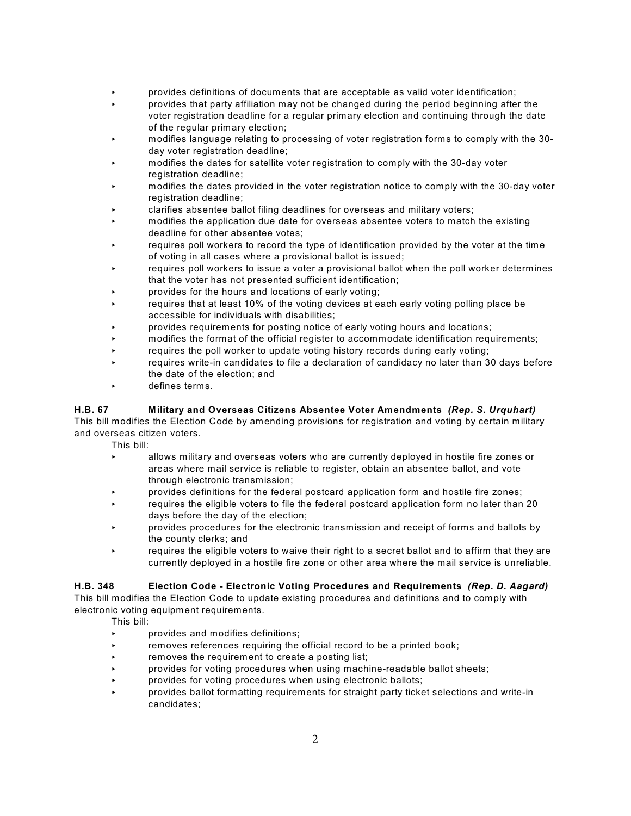- < provides definitions of documents that are acceptable as valid voter identification;
- < provides that party affiliation may not be changed during the period beginning after the voter registration deadline for a regular primary election and continuing through the date of the regular primary election;
- < modifies language relating to processing of voter registration forms to comply with the 30 day voter registration deadline;
- < modifies the dates for satellite voter registration to comply with the 30-day voter registration deadline:
- < modifies the dates provided in the voter registration notice to comply with the 30-day voter registration deadline;
- < clarifies absentee ballot filing deadlines for overseas and military voters;
- < modifies the application due date for overseas absentee voters to match the existing deadline for other absentee votes;
- requires poll workers to record the type of identification provided by the voter at the time of voting in all cases where a provisional ballot is issued;
- requires poll workers to issue a voter a provisional ballot when the poll worker determines that the voter has not presented sufficient identification;
- provides for the hours and locations of early voting;
- requires that at least 10% of the voting devices at each early voting polling place be accessible for individuals with disabilities;
- < provides requirements for posting notice of early voting hours and locations;
- < modifies the format of the official register to accommodate identification requirements;
- requires the poll worker to update voting history records during early voting;
- requires write-in candidates to file a declaration of candidacy no later than 30 days before the date of the election; and
- defines terms.

#### **H.B. 67 Military and Overseas Citizens Absentee Voter Amendments** *(Rep. S. Urquhart)*

This bill modifies the Election Code by amending provisions for registration and voting by certain military and overseas citizen voters.

This bill:

- < allows military and overseas voters who are currently deployed in hostile fire zones or areas where mail service is reliable to register, obtain an absentee ballot, and vote through electronic transmission;
- < provides definitions for the federal postcard application form and hostile fire zones;
- requires the eligible voters to file the federal postcard application form no later than 20 days before the day of the election;
- < provides procedures for the electronic transmission and receipt of forms and ballots by the county clerks; and
- $\epsilon$  requires the eligible voters to waive their right to a secret ballot and to affirm that they are currently deployed in a hostile fire zone or other area where the mail service is unreliable.

#### **H.B. 348 Election Code - Electronic Voting Procedures and Requirements** *(Rep. D. Aagard)*

This bill modifies the Election Code to update existing procedures and definitions and to comply with electronic voting equipment requirements.

- provides and modifies definitions;
- removes references requiring the official record to be a printed book;
- removes the requirement to create a posting list;
- < provides for voting procedures when using machine-readable ballot sheets;
- provides for voting procedures when using electronic ballots;
- < provides ballot formatting requirements for straight party ticket selections and write-in candidates;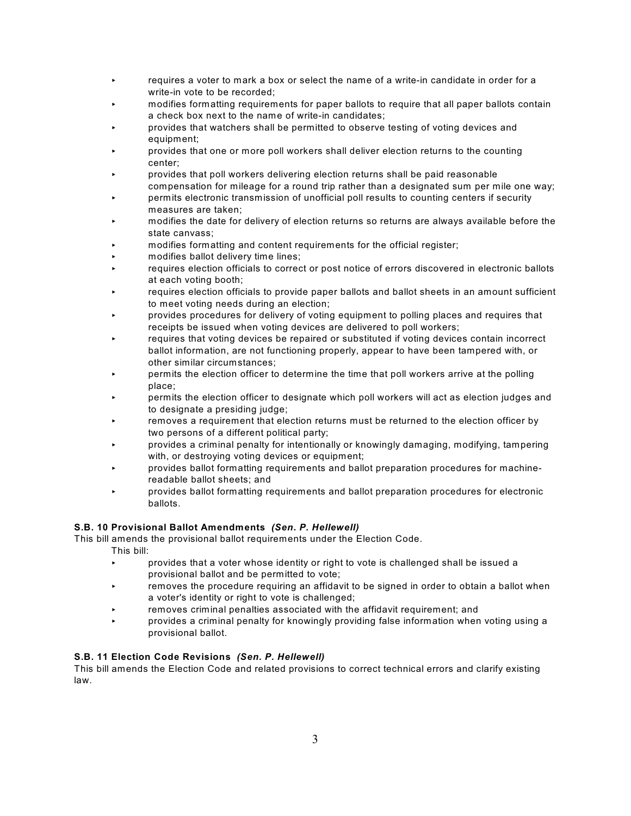- **EXECT:** requires a voter to mark a box or select the name of a write-in candidate in order for a write-in vote to be recorded;
- < modifies formatting requirements for paper ballots to require that all paper ballots contain a check box next to the name of write-in candidates;
- < provides that watchers shall be permitted to observe testing of voting devices and equipment;
- < provides that one or more poll workers shall deliver election returns to the counting center;
- < provides that poll workers delivering election returns shall be paid reasonable compensation for mileage for a round trip rather than a designated sum per mile one way;
- < permits electronic transmission of unofficial poll results to counting centers if security measures are taken;
- < modifies the date for delivery of election returns so returns are always available before the state canvass;
- < modifies formatting and content requirements for the official register;
- < modifies ballot delivery time lines;
- requires election officials to correct or post notice of errors discovered in electronic ballots at each voting booth;
- requires election officials to provide paper ballots and ballot sheets in an amount sufficient to meet voting needs during an election;
- < provides procedures for delivery of voting equipment to polling places and requires that receipts be issued when voting devices are delivered to poll workers;
- requires that voting devices be repaired or substituted if voting devices contain incorrect ballot information, are not functioning properly, appear to have been tampered with, or other similar circumstances;
- < permits the election officer to determine the time that poll workers arrive at the polling place;
- < permits the election officer to designate which poll workers will act as election judges and to designate a presiding judge;
- removes a requirement that election returns must be returned to the election officer by two persons of a different political party;
- < provides a criminal penalty for intentionally or knowingly damaging, modifying, tampering with, or destroying voting devices or equipment;
- < provides ballot formatting requirements and ballot preparation procedures for machinereadable ballot sheets; and
- < provides ballot formatting requirements and ballot preparation procedures for electronic ballots.

#### **S.B. 10 Provisional Ballot Amendments** *(Sen. P. Hellewell)*

This bill amends the provisional ballot requirements under the Election Code.

This bill:

- < provides that a voter whose identity or right to vote is challenged shall be issued a provisional ballot and be permitted to vote;
- **EXECUTE:** removes the procedure requiring an affidavit to be signed in order to obtain a ballot when a voter's identity or right to vote is challenged;
- $\cdot$  removes criminal penalties associated with the affidavit requirement; and
- < provides a criminal penalty for knowingly providing false information when voting using a provisional ballot.

#### **S.B. 11 Election Code Revisions** *(Sen. P. Hellewell)*

This bill amends the Election Code and related provisions to correct technical errors and clarify existing law.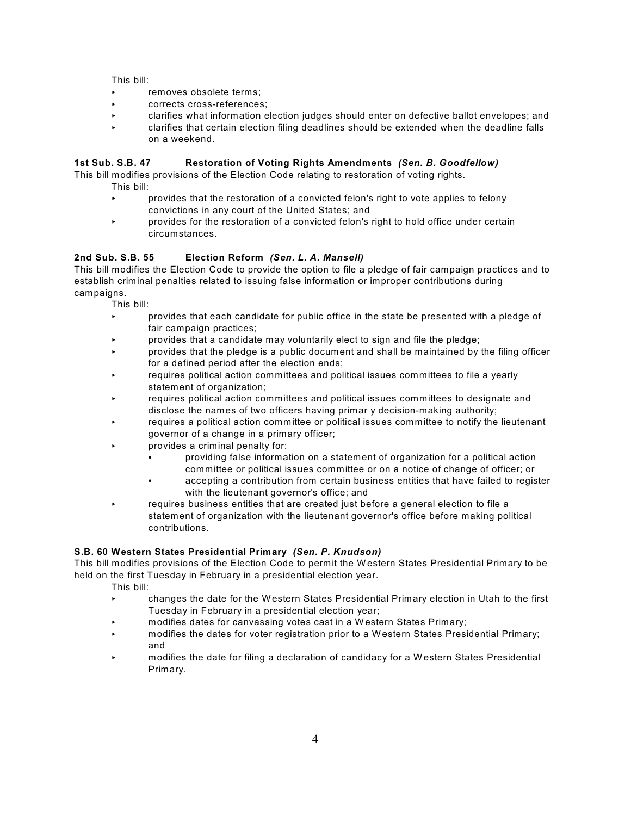This bill:

- removes obsolete terms;
- corrects cross-references;
- < clarifies what information election judges should enter on defective ballot envelopes; and
- < clarifies that certain election filing deadlines should be extended when the deadline falls on a weekend.

#### **1st Sub. S.B. 47 Restoration of Voting Rights Amendments** *(Sen. B. Goodfellow)*

This bill modifies provisions of the Election Code relating to restoration of voting rights.

This bill:

- < provides that the restoration of a convicted felon's right to vote applies to felony convictions in any court of the United States; and
- < provides for the restoration of a convicted felon's right to hold office under certain circumstances.

#### **2nd Sub. S.B. 55 Election Reform** *(Sen. L. A. Mansell)*

This bill modifies the Election Code to provide the option to file a pledge of fair campaign practices and to establish criminal penalties related to issuing false information or improper contributions during campaigns.

This bill:

- < provides that each candidate for public office in the state be presented with a pledge of fair campaign practices;
- < provides that a candidate may voluntarily elect to sign and file the pledge;
- < provides that the pledge is a public document and shall be maintained by the filing officer for a defined period after the election ends;
- requires political action committees and political issues committees to file a yearly statement of organization;
- < requires political action committees and political issues committees to designate and disclose the names of two officers having primar y decision-making authority;
- requires a political action committee or political issues committee to notify the lieutenant governor of a change in a primary officer;
- provides a criminal penalty for:
	- providing false information on a statement of organization for a political action committee or political issues committee or on a notice of change of officer; or
	- accepting a contribution from certain business entities that have failed to register with the lieutenant governor's office; and
- requires business entities that are created just before a general election to file a statement of organization with the lieutenant governor's office before making political contributions.

#### **S.B. 60 Western States Presidential Primary** *(Sen. P. Knudson)*

This bill modifies provisions of the Election Code to permit the Western States Presidential Primary to be held on the first Tuesday in February in a presidential election year.

- < changes the date for the Western States Presidential Primary election in Utah to the first Tuesday in February in a presidential election year;
- < modifies dates for canvassing votes cast in a W estern States Primary;
- modifies the dates for voter registration prior to a Western States Presidential Primary; and
- < modifies the date for filing a declaration of candidacy for a W estern States Presidential Primary.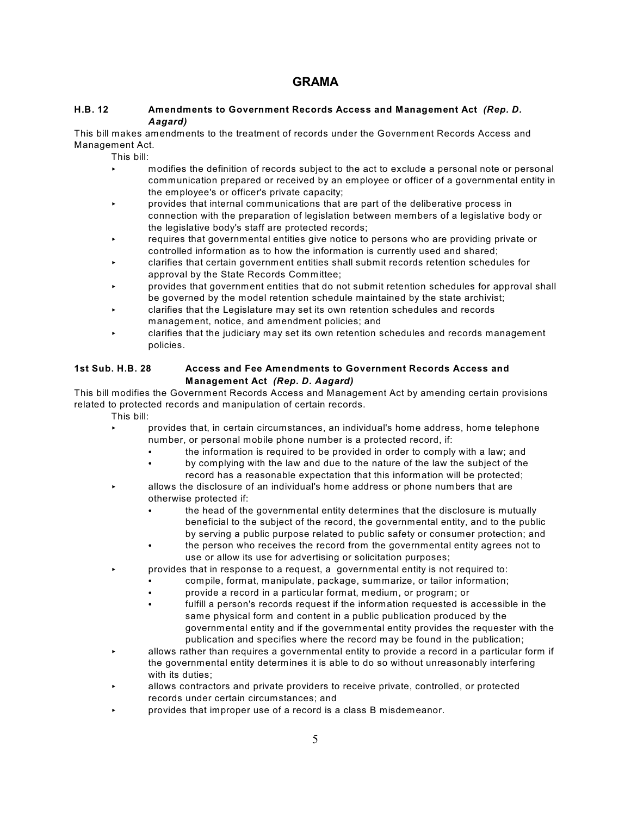# **GRAMA**

#### **H.B. 12 Amendments to Government Records Access and Management Act** *(Rep. D. Aagard)*

This bill makes amendments to the treatment of records under the Government Records Access and Management Act.

This bill:

- < modifies the definition of records subject to the act to exclude a personal note or personal communication prepared or received by an employee or officer of a governmental entity in the employee's or officer's private capacity;
- < provides that internal communications that are part of the deliberative process in connection with the preparation of legislation between members of a legislative body or the legislative body's staff are protected records;
- requires that governmental entities give notice to persons who are providing private or controlled information as to how the information is currently used and shared;
- < clarifies that certain government entities shall submit records retention schedules for approval by the State Records Committee;
- < provides that government entities that do not submit retention schedules for approval shall be governed by the model retention schedule maintained by the state archivist;
- < clarifies that the Legislature may set its own retention schedules and records management, notice, and amendment policies; and
- < clarifies that the judiciary may set its own retention schedules and records management policies.

#### **1st Sub. H.B. 28 Access and Fee Amendments to Government Records Access and Management Act** *(Rep. D. Aagard)*

This bill modifies the Government Records Access and Management Act by amending certain provisions related to protected records and manipulation of certain records.

- < provides that, in certain circumstances, an individual's home address, home telephone number, or personal mobile phone number is a protected record, if:
	- the information is required to be provided in order to comply with a law; and
	- by complying with the law and due to the nature of the law the subject of the record has a reasonable expectation that this information will be protected;
- < allows the disclosure of an individual's home address or phone numbers that are otherwise protected if:
	- the head of the governmental entity determines that the disclosure is mutually beneficial to the subject of the record, the governmental entity, and to the public by serving a public purpose related to public safety or consumer protection; and
	- the person who receives the record from the governmental entity agrees not to use or allow its use for advertising or solicitation purposes;
- < provides that in response to a request, a governmental entity is not required to:
	- compile, format, manipulate, package, summarize, or tailor information;
	- provide a record in a particular format, medium, or program; or
	- fulfill a person's records request if the information requested is accessible in the same physical form and content in a public publication produced by the governmental entity and if the governmental entity provides the requester with the publication and specifies where the record may be found in the publication;
- < allows rather than requires a governmental entity to provide a record in a particular form if the governmental entity determines it is able to do so without unreasonably interfering with its duties;
- allows contractors and private providers to receive private, controlled, or protected records under certain circumstances; and
- < provides that improper use of a record is a class B misdemeanor.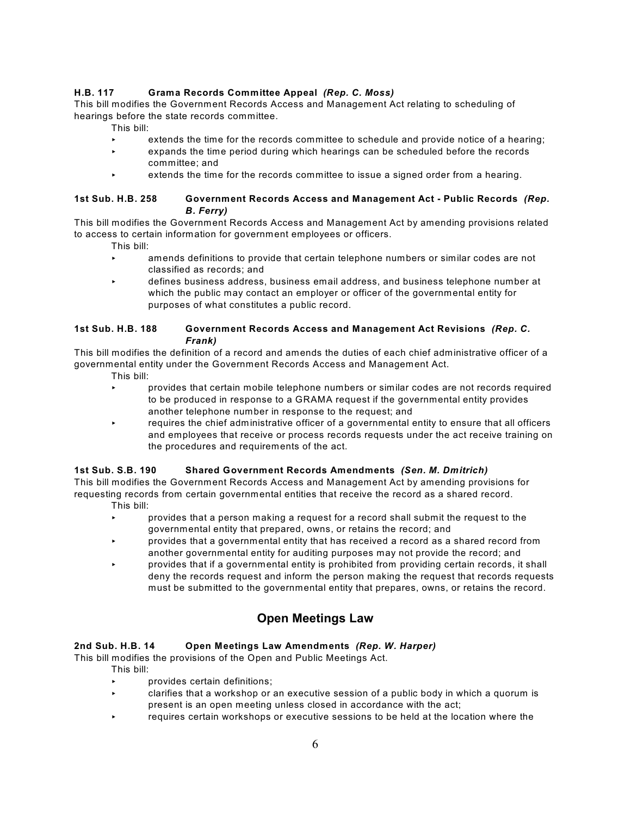#### **H.B. 117 Grama Records Committee Appeal** *(Rep. C. Moss)*

This bill modifies the Government Records Access and Management Act relating to scheduling of hearings before the state records committee.

This bill:

- extends the time for the records committee to schedule and provide notice of a hearing;
- < expands the time period during which hearings can be scheduled before the records committee; and
- extends the time for the records committee to issue a signed order from a hearing.

#### **1st Sub. H.B. 258 Government Records Access and Management Act - Public Records** *(Rep. B. Ferry)*

This bill modifies the Government Records Access and Management Act by amending provisions related to access to certain information for government employees or officers.

This bill:

- < amends definitions to provide that certain telephone numbers or similar codes are not classified as records; and
- < defines business address, business email address, and business telephone number at which the public may contact an employer or officer of the governmental entity for purposes of what constitutes a public record.

#### **1st Sub. H.B. 188 Government Records Access and Management Act Revisions** *(Rep. C. Frank)*

This bill modifies the definition of a record and amends the duties of each chief administrative officer of a governmental entity under the Government Records Access and Management Act.

- This bill:
- < provides that certain mobile telephone numbers or similar codes are not records required to be produced in response to a GRAMA request if the governmental entity provides another telephone number in response to the request; and
- $\cdot$  requires the chief administrative officer of a governmental entity to ensure that all officers and employees that receive or process records requests under the act receive training on the procedures and requirements of the act.

#### **1st Sub. S.B. 190 Shared Government Records Amendments** *(Sen. M. Dmitrich)*

This bill modifies the Government Records Access and Management Act by amending provisions for requesting records from certain governmental entities that receive the record as a shared record.

- This bill:
- < provides that a person making a request for a record shall submit the request to the governmental entity that prepared, owns, or retains the record; and
- < provides that a governmental entity that has received a record as a shared record from another governmental entity for auditing purposes may not provide the record; and
- < provides that if a governmental entity is prohibited from providing certain records, it shall deny the records request and inform the person making the request that records requests must be submitted to the governmental entity that prepares, owns, or retains the record.

# **Open Meetings Law**

#### **2nd Sub. H.B. 14 Open Meetings Law Amendments** *(Rep. W. Harper)*

This bill modifies the provisions of the Open and Public Meetings Act.

- This bill:
- provides certain definitions;
- < clarifies that a workshop or an executive session of a public body in which a quorum is present is an open meeting unless closed in accordance with the act;
- requires certain workshops or executive sessions to be held at the location where the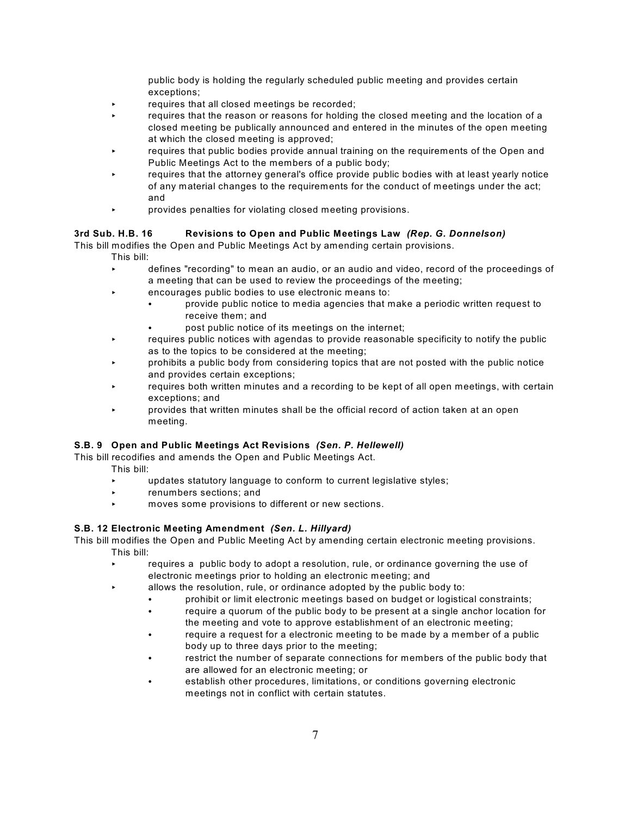public body is holding the regularly scheduled public meeting and provides certain exceptions;

- $\cdot$  requires that all closed meetings be recorded;
- requires that the reason or reasons for holding the closed meeting and the location of a closed meeting be publically announced and entered in the minutes of the open meeting at which the closed meeting is approved;
- requires that public bodies provide annual training on the requirements of the Open and Public Meetings Act to the members of a public body;
- requires that the attorney general's office provide public bodies with at least yearly notice of any material changes to the requirements for the conduct of meetings under the act; and
- < provides penalties for violating closed meeting provisions.

#### **3rd Sub. H.B. 16 Revisions to Open and Public Meetings Law** *(Rep. G. Donnelson)*

This bill modifies the Open and Public Meetings Act by amending certain provisions.

- This bill:
- < defines "recording" to mean an audio, or an audio and video, record of the proceedings of a meeting that can be used to review the proceedings of the meeting;
- < encourages public bodies to use electronic means to:
	- provide public notice to media agencies that make a periodic written request to receive them; and
	- post public notice of its meetings on the internet;
- requires public notices with agendas to provide reasonable specificity to notify the public as to the topics to be considered at the meeting;
- < prohibits a public body from considering topics that are not posted with the public notice and provides certain exceptions;
- requires both written minutes and a recording to be kept of all open meetings, with certain exceptions; and
- **EXECT** provides that written minutes shall be the official record of action taken at an open meeting.

#### **S.B. 9 Open and Public Meetings Act Revisions** *(Sen. P. Hellewell)*

This bill recodifies and amends the Open and Public Meetings Act.

This bill:

- < updates statutory language to conform to current legislative styles;
- **EXECUTE:** renumbers sections; and
- < moves some provisions to different or new sections.

#### **S.B. 12 Electronic Meeting Amendment** *(Sen. L. Hillyard)*

This bill modifies the Open and Public Meeting Act by amending certain electronic meeting provisions. This bill:

- requires a public body to adopt a resolution, rule, or ordinance governing the use of electronic meetings prior to holding an electronic meeting; and
- allows the resolution, rule, or ordinance adopted by the public body to:
	- prohibit or limit electronic meetings based on budget or logistical constraints;
	- require a quorum of the public body to be present at a single anchor location for the meeting and vote to approve establishment of an electronic meeting;
	- require a request for a electronic meeting to be made by a member of a public body up to three days prior to the meeting;
	- restrict the number of separate connections for members of the public body that are allowed for an electronic meeting; or
	- establish other procedures, limitations, or conditions governing electronic meetings not in conflict with certain statutes.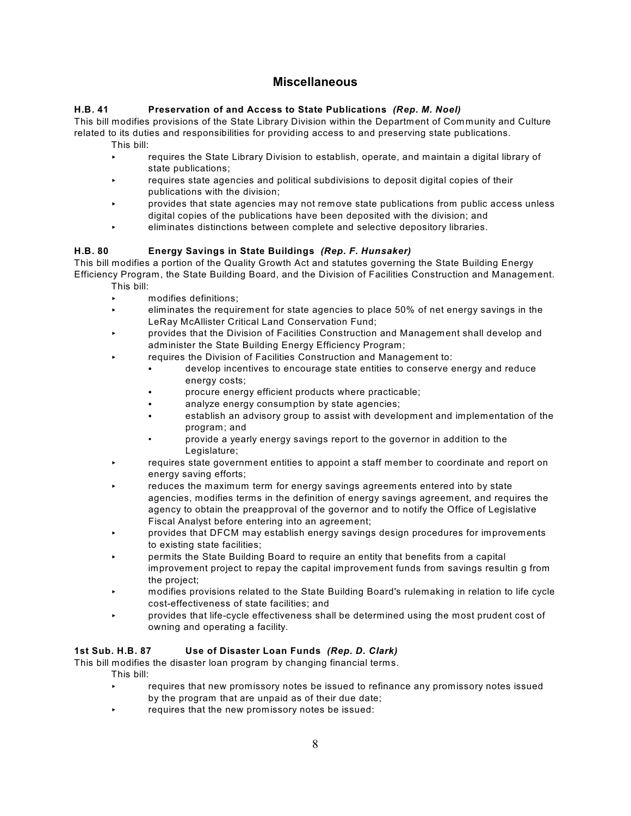# **Miscellaneous**

### **H.B. 41 Preservation of and Access to State Publications** *(Rep. M. Noel)*

This bill modifies provisions of the State Library Division within the Department of Community and Culture related to its duties and responsibilities for providing access to and preserving state publications.

- This bill:
	- requires the State Library Division to establish, operate, and maintain a digital library of state publications;
- < requires state agencies and political subdivisions to deposit digital copies of their publications with the division;
- < provides that state agencies may not remove state publications from public access unless digital copies of the publications have been deposited with the division; and
- < eliminates distinctions between complete and selective depository libraries.

# **H.B. 80 Energy Savings in State Buildings** *(Rep. F. Hunsaker)*

This bill modifies a portion of the Quality Growth Act and statutes governing the State Building Energy Efficiency Program, the State Building Board, and the Division of Facilities Construction and Management. This bill:

- < modifies definitions;
- < eliminates the requirement for state agencies to place 50% of net energy savings in the LeRay McAllister Critical Land Conservation Fund;
- < provides that the Division of Facilities Construction and Management shall develop and administer the State Building Energy Efficiency Program;
	- requires the Division of Facilities Construction and Management to:
		- develop incentives to encourage state entities to conserve energy and reduce energy costs;
		- procure energy efficient products where practicable;
		- analyze energy consumption by state agencies;
		- establish an advisory group to assist with development and implementation of the program; and
		- provide a yearly energy savings report to the governor in addition to the Legislature;
- **EXECUTE:** requires state government entities to appoint a staff member to coordinate and report on energy saving efforts;
- reduces the maximum term for energy savings agreements entered into by state agencies, modifies terms in the definition of energy savings agreement, and requires the agency to obtain the preapproval of the governor and to notify the Office of Legislative Fiscal Analyst before entering into an agreement;
- < provides that DFCM may establish energy savings design procedures for improvements to existing state facilities;
- < permits the State Building Board to require an entity that benefits from a capital improvement project to repay the capital improvement funds from savings resultin g from the project;
- < modifies provisions related to the State Building Board's rulemaking in relation to life cycle cost-effectiveness of state facilities; and
- < provides that life-cycle effectiveness shall be determined using the most prudent cost of owning and operating a facility.

## **1st Sub. H.B. 87 Use of Disaster Loan Funds** *(Rep. D. Clark)*

This bill modifies the disaster loan program by changing financial terms.

- This bill:
	- **EXECT:** requires that new promissory notes be issued to refinance any promissory notes issued by the program that are unpaid as of their due date;
	- requires that the new promissory notes be issued: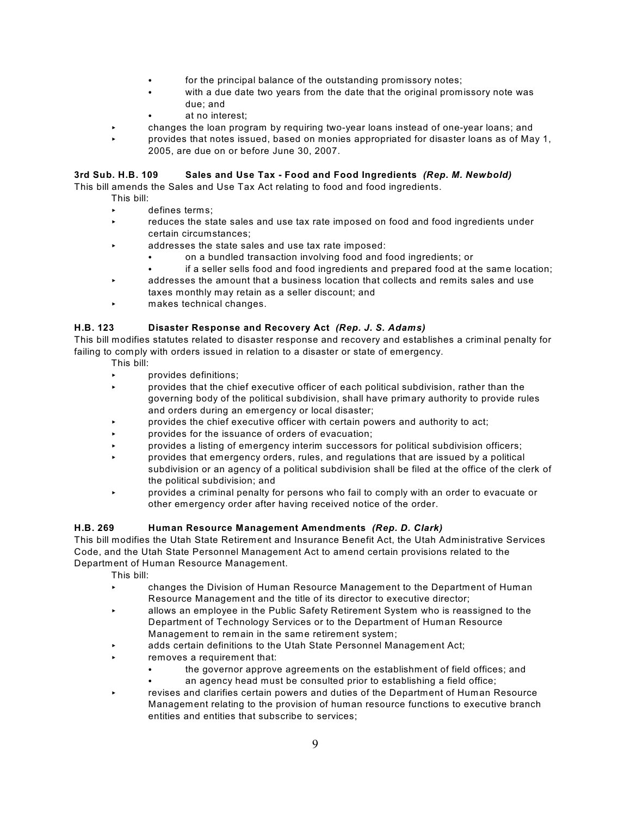- for the principal balance of the outstanding promissory notes;
- with a due date two years from the date that the original promissory note was due; and
- at no interest:
- < changes the loan program by requiring two-year loans instead of one-year loans; and
- < provides that notes issued, based on monies appropriated for disaster loans as of May 1, 2005, are due on or before June 30, 2007.

#### **3rd Sub. H.B. 109 Sales and Use Tax - Food and Food Ingredients** *(Rep. M. Newbold)*

This bill amends the Sales and Use Tax Act relating to food and food ingredients.

- This bill:
	- defines terms:
	- reduces the state sales and use tax rate imposed on food and food ingredients under certain circumstances;
	- addresses the state sales and use tax rate imposed:
		- on a bundled transaction involving food and food ingredients; or
		- if a seller sells food and food ingredients and prepared food at the same location;
	- $\overline{\phantom{a}}$  addresses the amount that a business location that collects and remits sales and use taxes monthly may retain as a seller discount; and
	- **Example 3** makes technical changes.

#### **H.B. 123 Disaster Response and Recovery Act** *(Rep. J. S. Adams)*

This bill modifies statutes related to disaster response and recovery and establishes a criminal penalty for failing to comply with orders issued in relation to a disaster or state of emergency.

- This bill:
- < provides definitions;
- < provides that the chief executive officer of each political subdivision, rather than the governing body of the political subdivision, shall have primary authority to provide rules and orders during an emergency or local disaster;
- < provides the chief executive officer with certain powers and authority to act;
- provides for the issuance of orders of evacuation;
- < provides a listing of emergency interim successors for political subdivision officers;
- < provides that emergency orders, rules, and regulations that are issued by a political subdivision or an agency of a political subdivision shall be filed at the office of the clerk of the political subdivision; and
- < provides a criminal penalty for persons who fail to comply with an order to evacuate or other emergency order after having received notice of the order.

#### **H.B. 269 Human Resource Management Amendments** *(Rep. D. Clark)*

This bill modifies the Utah State Retirement and Insurance Benefit Act, the Utah Administrative Services Code, and the Utah State Personnel Management Act to amend certain provisions related to the Department of Human Resource Management.

- < changes the Division of Human Resource Management to the Department of Human Resource Management and the title of its director to executive director;
- < allows an employee in the Public Safety Retirement System who is reassigned to the Department of Technology Services or to the Department of Human Resource Management to remain in the same retirement system;
- adds certain definitions to the Utah State Personnel Management Act;
- removes a requirement that:
	- the governor approve agreements on the establishment of field offices; and
	- an agency head must be consulted prior to establishing a field office;
- revises and clarifies certain powers and duties of the Department of Human Resource Management relating to the provision of human resource functions to executive branch entities and entities that subscribe to services;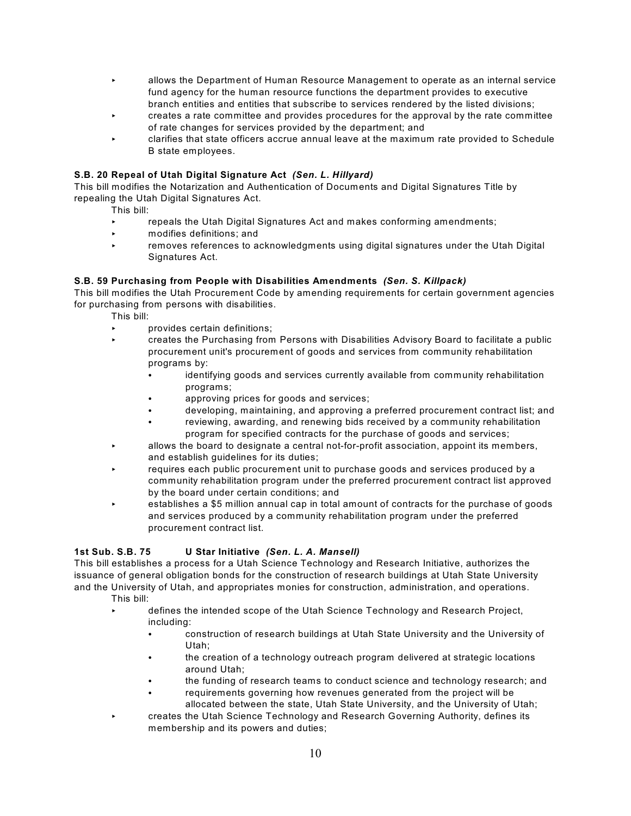- < allows the Department of Human Resource Management to operate as an internal service fund agency for the human resource functions the department provides to executive branch entities and entities that subscribe to services rendered by the listed divisions;
- < creates a rate committee and provides procedures for the approval by the rate committee of rate changes for services provided by the department; and
- < clarifies that state officers accrue annual leave at the maximum rate provided to Schedule B state employees.

#### **S.B. 20 Repeal of Utah Digital Signature Act** *(Sen. L. Hillyard)*

This bill modifies the Notarization and Authentication of Documents and Digital Signatures Title by repealing the Utah Digital Signatures Act.

This bill:

- repeals the Utah Digital Signatures Act and makes conforming amendments;
- < modifies definitions; and
- **EXECT** removes references to acknowledgments using digital signatures under the Utah Digital Signatures Act.

#### **S.B. 59 Purchasing from People with Disabilities Amendments** *(Sen. S. Killpack)*

This bill modifies the Utah Procurement Code by amending requirements for certain government agencies for purchasing from persons with disabilities.

This bill:

- < provides certain definitions;
- < creates the Purchasing from Persons with Disabilities Advisory Board to facilitate a public procurement unit's procurement of goods and services from community rehabilitation programs by:
	- identifying goods and services currently available from community rehabilitation programs;
	- approving prices for goods and services;
	- developing, maintaining, and approving a preferred procurement contract list; and
	- reviewing, awarding, and renewing bids received by a community rehabilitation program for specified contracts for the purchase of goods and services;
- < allows the board to designate a central not-for-profit association, appoint its members, and establish quidelines for its duties:
- requires each public procurement unit to purchase goods and services produced by a community rehabilitation program under the preferred procurement contract list approved by the board under certain conditions; and
- < establishes a \$5 million annual cap in total amount of contracts for the purchase of goods and services produced by a community rehabilitation program under the preferred procurement contract list.

#### **1st Sub. S.B. 75 U Star Initiative** *(Sen. L. A. Mansell)*

This bill establishes a process for a Utah Science Technology and Research Initiative, authorizes the issuance of general obligation bonds for the construction of research buildings at Utah State University and the University of Utah, and appropriates monies for construction, administration, and operations. This bill:

- < defines the intended scope of the Utah Science Technology and Research Project, including:
	- C construction of research buildings at Utah State University and the University of Utah;
	- the creation of a technology outreach program delivered at strategic locations around Utah;
	- the funding of research teams to conduct science and technology research; and
	- requirements governing how revenues generated from the project will be allocated between the state, Utah State University, and the University of Utah;
- < creates the Utah Science Technology and Research Governing Authority, defines its membership and its powers and duties;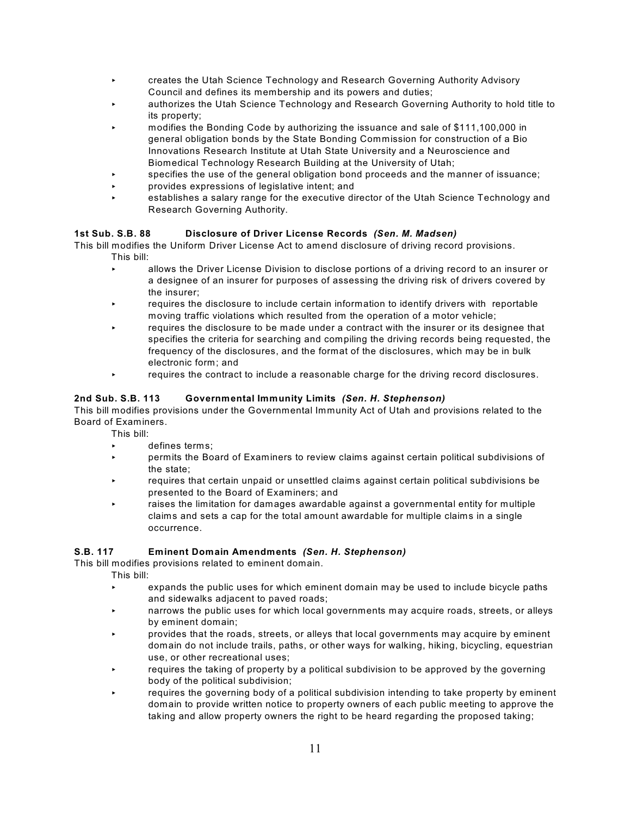- < creates the Utah Science Technology and Research Governing Authority Advisory Council and defines its membership and its powers and duties;
- < authorizes the Utah Science Technology and Research Governing Authority to hold title to its property;
- < modifies the Bonding Code by authorizing the issuance and sale of \$111,100,000 in general obligation bonds by the State Bonding Commission for construction of a Bio Innovations Research Institute at Utah State University and a Neuroscience and Biomedical Technology Research Building at the University of Utah;
- specifies the use of the general obligation bond proceeds and the manner of issuance;
- < provides expressions of legislative intent; and
- < establishes a salary range for the executive director of the Utah Science Technology and Research Governing Authority.

#### **1st Sub. S.B. 88 Disclosure of Driver License Records** *(Sen. M. Madsen)*

This bill modifies the Uniform Driver License Act to amend disclosure of driving record provisions. This bill:

- **EXECUTE:** allows the Driver License Division to disclose portions of a driving record to an insurer or a designee of an insurer for purposes of assessing the driving risk of drivers covered by the insurer;
- requires the disclosure to include certain information to identify drivers with reportable moving traffic violations which resulted from the operation of a motor vehicle;
- requires the disclosure to be made under a contract with the insurer or its designee that specifies the criteria for searching and compiling the driving records being requested, the frequency of the disclosures, and the format of the disclosures, which may be in bulk electronic form; and
- **EXECUTE:** requires the contract to include a reasonable charge for the driving record disclosures.

#### **2nd Sub. S.B. 113 Governmental Immunity Limits** *(Sen. H. Stephenson)*

This bill modifies provisions under the Governmental Immunity Act of Utah and provisions related to the Board of Examiners.

This bill:

- < defines terms;
- < permits the Board of Examiners to review claims against certain political subdivisions of the state;
- < requires that certain unpaid or unsettled claims against certain political subdivisions be presented to the Board of Examiners; and
- raises the limitation for damages awardable against a governmental entity for multiple claims and sets a cap for the total amount awardable for multiple claims in a single occurrence.

#### **S.B. 117 Eminent Domain Amendments** *(Sen. H. Stephenson)*

This bill modifies provisions related to eminent domain.

- expands the public uses for which eminent domain may be used to include bicycle paths and sidewalks adjacent to paved roads;
- **EXECUTE:** narrows the public uses for which local governments may acquire roads, streets, or alleys by eminent domain;
- < provides that the roads, streets, or alleys that local governments may acquire by eminent domain do not include trails, paths, or other ways for walking, hiking, bicycling, equestrian use, or other recreational uses;
- requires the taking of property by a political subdivision to be approved by the governing body of the political subdivision;
- requires the governing body of a political subdivision intending to take property by eminent domain to provide written notice to property owners of each public meeting to approve the taking and allow property owners the right to be heard regarding the proposed taking;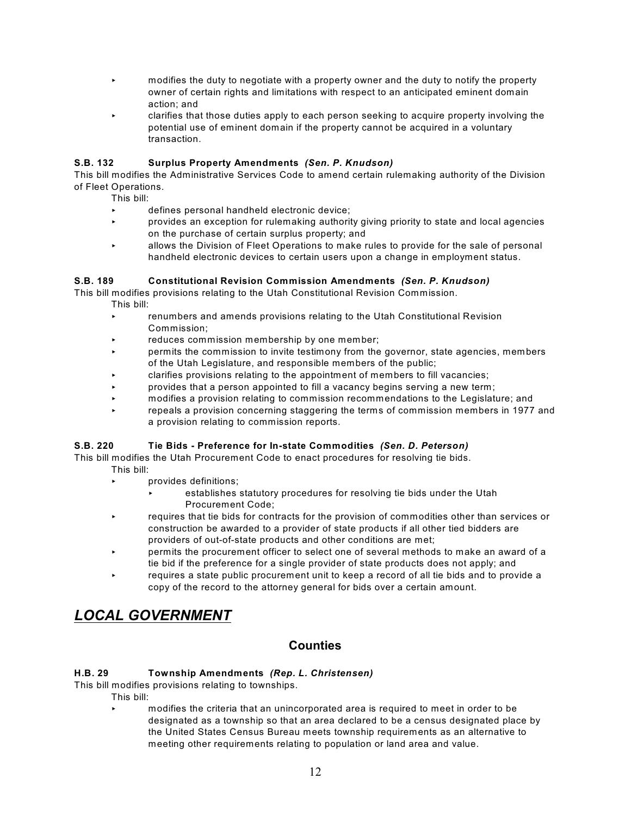- < modifies the duty to negotiate with a property owner and the duty to notify the property owner of certain rights and limitations with respect to an anticipated eminent domain action; and
- < clarifies that those duties apply to each person seeking to acquire property involving the potential use of eminent domain if the property cannot be acquired in a voluntary transaction.

#### **S.B. 132 Surplus Property Amendments** *(Sen. P. Knudson)*

This bill modifies the Administrative Services Code to amend certain rulemaking authority of the Division of Fleet Operations.

This bill:

- < defines personal handheld electronic device;
- < provides an exception for rulemaking authority giving priority to state and local agencies on the purchase of certain surplus property; and
- < allows the Division of Fleet Operations to make rules to provide for the sale of personal handheld electronic devices to certain users upon a change in employment status.

#### **S.B. 189 Constitutional Revision Commission Amendments** *(Sen. P. Knudson)*

This bill modifies provisions relating to the Utah Constitutional Revision Commission. This bill:

- **EXECUTE:** renumbers and amends provisions relating to the Utah Constitutional Revision Commission;
- reduces commission membership by one member;
- < permits the commission to invite testimony from the governor, state agencies, members of the Utah Legislature, and responsible members of the public;
- < clarifies provisions relating to the appointment of members to fill vacancies;
- < provides that a person appointed to fill a vacancy begins serving a new term;
- < modifies a provision relating to commission recommendations to the Legislature; and
- repeals a provision concerning staggering the terms of commission members in 1977 and a provision relating to commission reports.

#### **S.B. 220 Tie Bids - Preference for In-state Commodities** *(Sen. D. Peterson)*

This bill modifies the Utah Procurement Code to enact procedures for resolving tie bids.

- This bill:
	- **EXECUTE:** provides definitions;
		- < establishes statutory procedures for resolving tie bids under the Utah Procurement Code;
	- **EXECUTE:** requires that tie bids for contracts for the provision of commodities other than services or construction be awarded to a provider of state products if all other tied bidders are providers of out-of-state products and other conditions are met;
	- **EXECT:** permits the procurement officer to select one of several methods to make an award of a tie bid if the preference for a single provider of state products does not apply; and
	- requires a state public procurement unit to keep a record of all tie bids and to provide a copy of the record to the attorney general for bids over a certain amount.

# *LOCAL GOVERNMENT*

# **Counties**

## **H.B. 29 Township Amendments** *(Rep. L. Christensen)*

This bill modifies provisions relating to townships.

- This bill:
	- < modifies the criteria that an unincorporated area is required to meet in order to be designated as a township so that an area declared to be a census designated place by the United States Census Bureau meets township requirements as an alternative to meeting other requirements relating to population or land area and value.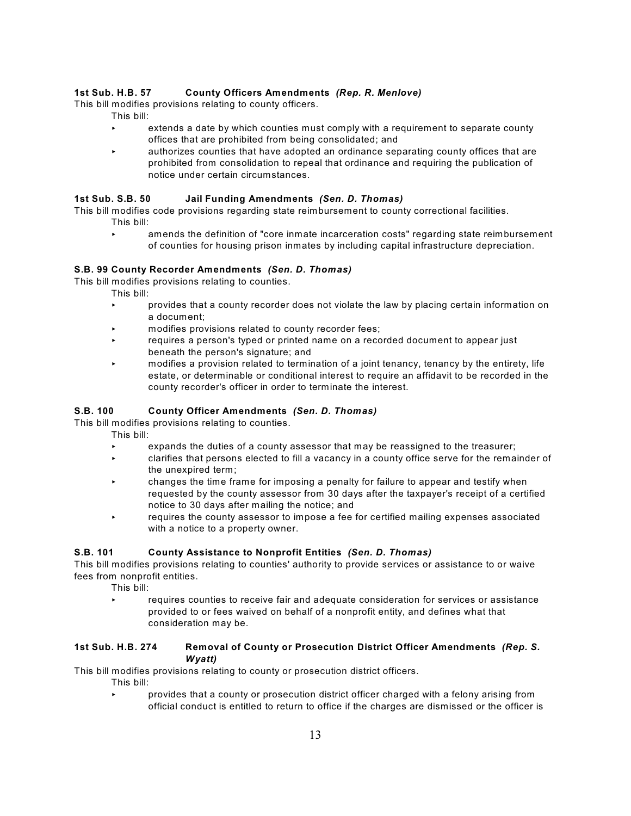#### **1st Sub. H.B. 57 County Officers Amendments** *(Rep. R. Menlove)*

This bill modifies provisions relating to county officers.

- This bill:
	- extends a date by which counties must comply with a requirement to separate county offices that are prohibited from being consolidated; and
	- < authorizes counties that have adopted an ordinance separating county offices that are prohibited from consolidation to repeal that ordinance and requiring the publication of notice under certain circumstances.

#### **1st Sub. S.B. 50 Jail Funding Amendments** *(Sen. D. Thomas)*

This bill modifies code provisions regarding state reimbursement to county correctional facilities. This bill:

< amends the definition of "core inmate incarceration costs" regarding state reimbursement of counties for housing prison inmates by including capital infrastructure depreciation.

#### **S.B. 99 County Recorder Amendments** *(Sen. D. Thomas)*

This bill modifies provisions relating to counties.

This bill:

- < provides that a county recorder does not violate the law by placing certain information on a document;
- $\triangleright$  modifies provisions related to county recorder fees;
- **EXECUTE:** requires a person's typed or printed name on a recorded document to appear just beneath the person's signature; and
- < modifies a provision related to termination of a joint tenancy, tenancy by the entirety, life estate, or determinable or conditional interest to require an affidavit to be recorded in the county recorder's officer in order to terminate the interest.

#### **S.B. 100 County Officer Amendments** *(Sen. D. Thomas)*

This bill modifies provisions relating to counties.

- This bill:
	- expands the duties of a county assessor that may be reassigned to the treasurer;
	- < clarifies that persons elected to fill a vacancy in a county office serve for the remainder of the unexpired term;
	- < changes the time frame for imposing a penalty for failure to appear and testify when requested by the county assessor from 30 days after the taxpayer's receipt of a certified notice to 30 days after mailing the notice; and
	- < requires the county assessor to impose a fee for certified mailing expenses associated with a notice to a property owner.

#### **S.B. 101 County Assistance to Nonprofit Entities** *(Sen. D. Thomas)*

This bill modifies provisions relating to counties' authority to provide services or assistance to or waive fees from nonprofit entities.

This bill:

requires counties to receive fair and adequate consideration for services or assistance provided to or fees waived on behalf of a nonprofit entity, and defines what that consideration may be.

#### **1st Sub. H.B. 274 Removal of County or Prosecution District Officer Amendments** *(Rep. S. Wyatt)*

This bill modifies provisions relating to county or prosecution district officers.

This bill:

< provides that a county or prosecution district officer charged with a felony arising from official conduct is entitled to return to office if the charges are dismissed or the officer is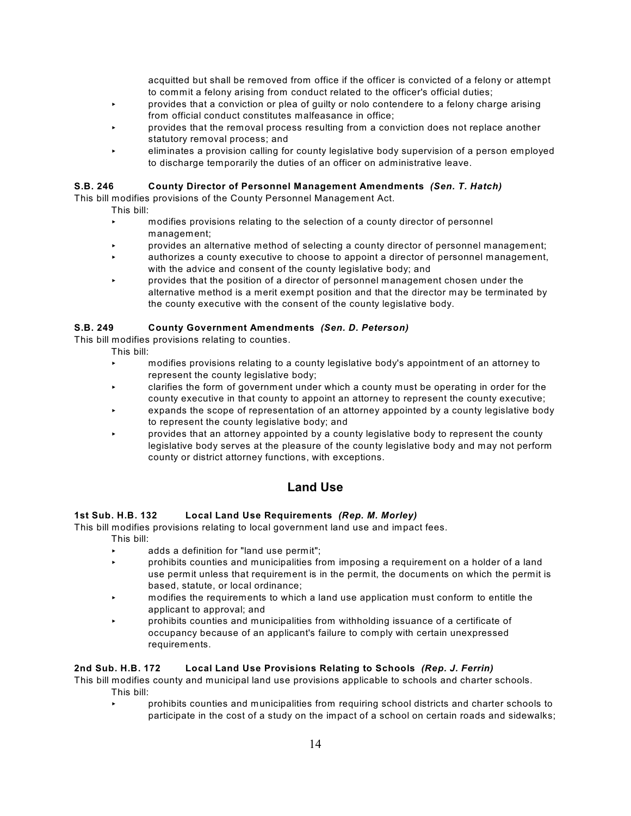acquitted but shall be removed from office if the officer is convicted of a felony or attempt to commit a felony arising from conduct related to the officer's official duties;

- < provides that a conviction or plea of guilty or nolo contendere to a felony charge arising from official conduct constitutes malfeasance in office;
- **EXECT** provides that the removal process resulting from a conviction does not replace another statutory removal process; and
- < eliminates a provision calling for county legislative body supervision of a person employed to discharge temporarily the duties of an officer on administrative leave.

#### **S.B. 246 County Director of Personnel Management Amendments** *(Sen. T. Hatch)*

This bill modifies provisions of the County Personnel Management Act.

- This bill:
	- < modifies provisions relating to the selection of a county director of personnel management;
- < provides an alternative method of selecting a county director of personnel management;
- < authorizes a county executive to choose to appoint a director of personnel management, with the advice and consent of the county legislative body; and
- < provides that the position of a director of personnel management chosen under the alternative method is a merit exempt position and that the director may be terminated by the county executive with the consent of the county legislative body.

#### **S.B. 249 County Government Amendments** *(Sen. D. Peterson)*

This bill modifies provisions relating to counties.

- This bill:
	- < modifies provisions relating to a county legislative body's appointment of an attorney to represent the county legislative body;
	- < clarifies the form of government under which a county must be operating in order for the county executive in that county to appoint an attorney to represent the county executive;
	- expands the scope of representation of an attorney appointed by a county legislative body to represent the county legislative body; and
	- < provides that an attorney appointed by a county legislative body to represent the county legislative body serves at the pleasure of the county legislative body and may not perform county or district attorney functions, with exceptions.

# **Land Use**

#### **1st Sub. H.B. 132 Local Land Use Requirements** *(Rep. M. Morley)*

This bill modifies provisions relating to local government land use and impact fees.

This bill:

- < adds a definition for "land use permit";
- < prohibits counties and municipalities from imposing a requirement on a holder of a land use permit unless that requirement is in the permit, the documents on which the permit is based, statute, or local ordinance;
- < modifies the requirements to which a land use application must conform to entitle the applicant to approval; and
- < prohibits counties and municipalities from withholding issuance of a certificate of occupancy because of an applicant's failure to comply with certain unexpressed requirements.

#### **2nd Sub. H.B. 172 Local Land Use Provisions Relating to Schools** *(Rep. J. Ferrin)*

This bill modifies county and municipal land use provisions applicable to schools and charter schools. This bill:

< prohibits counties and municipalities from requiring school districts and charter schools to participate in the cost of a study on the impact of a school on certain roads and sidewalks;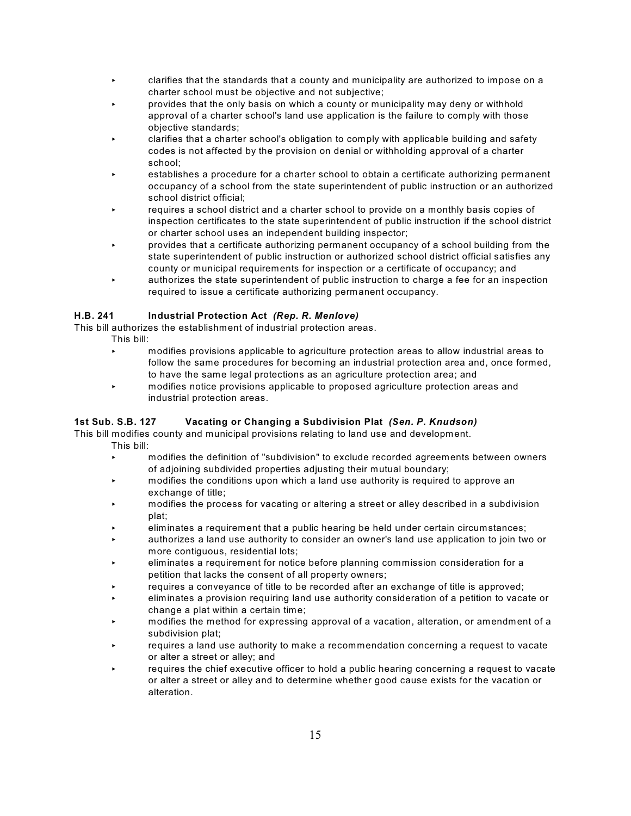- < clarifies that the standards that a county and municipality are authorized to impose on a charter school must be objective and not subjective;
- < provides that the only basis on which a county or municipality may deny or withhold approval of a charter school's land use application is the failure to comply with those objective standards;
- < clarifies that a charter school's obligation to comply with applicable building and safety codes is not affected by the provision on denial or withholding approval of a charter school;
- < establishes a procedure for a charter school to obtain a certificate authorizing permanent occupancy of a school from the state superintendent of public instruction or an authorized school district official;
- requires a school district and a charter school to provide on a monthly basis copies of inspection certificates to the state superintendent of public instruction if the school district or charter school uses an independent building inspector;
- < provides that a certificate authorizing permanent occupancy of a school building from the state superintendent of public instruction or authorized school district official satisfies any county or municipal requirements for inspection or a certificate of occupancy; and
- $\sim$  authorizes the state superintendent of public instruction to charge a fee for an inspection required to issue a certificate authorizing permanent occupancy.

## **H.B. 241 Industrial Protection Act** *(Rep. R. Menlove)*

This bill authorizes the establishment of industrial protection areas.

- This bill:
	- < modifies provisions applicable to agriculture protection areas to allow industrial areas to follow the same procedures for becoming an industrial protection area and, once formed, to have the same legal protections as an agriculture protection area; and
	- < modifies notice provisions applicable to proposed agriculture protection areas and industrial protection areas.

## **1st Sub. S.B. 127 Vacating or Changing a Subdivision Plat** *(Sen. P. Knudson)*

This bill modifies county and municipal provisions relating to land use and development. This bill:

- < modifies the definition of "subdivision" to exclude recorded agreements between owners of adjoining subdivided properties adjusting their mutual boundary;
- **EXECT** modifies the conditions upon which a land use authority is required to approve an exchange of title;
- < modifies the process for vacating or altering a street or alley described in a subdivision plat;
- < eliminates a requirement that a public hearing be held under certain circumstances;
- < authorizes a land use authority to consider an owner's land use application to join two or more contiguous, residential lots;
- < eliminates a requirement for notice before planning commission consideration for a petition that lacks the consent of all property owners;
- requires a conveyance of title to be recorded after an exchange of title is approved;
- < eliminates a provision requiring land use authority consideration of a petition to vacate or change a plat within a certain time;
- < modifies the method for expressing approval of a vacation, alteration, or amendment of a subdivision plat;
- requires a land use authority to make a recommendation concerning a request to vacate or alter a street or alley; and
- requires the chief executive officer to hold a public hearing concerning a request to vacate or alter a street or alley and to determine whether good cause exists for the vacation or alteration.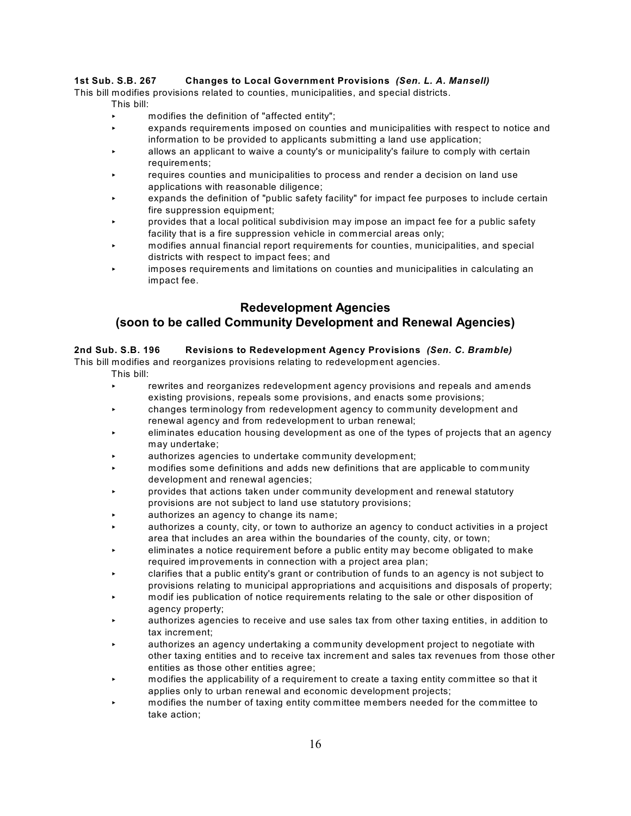#### **1st Sub. S.B. 267 Changes to Local Government Provisions** *(Sen. L. A. Mansell)*

This bill modifies provisions related to counties, municipalities, and special districts.

- This bill:
- $\triangleright$  modifies the definition of "affected entity";
- < expands requirements imposed on counties and municipalities with respect to notice and information to be provided to applicants submitting a land use application;
- < allows an applicant to waive a county's or municipality's failure to comply with certain requirements;
- requires counties and municipalities to process and render a decision on land use applications with reasonable diligence;
- expands the definition of "public safety facility" for impact fee purposes to include certain fire suppression equipment;
- < provides that a local political subdivision may impose an impact fee for a public safety facility that is a fire suppression vehicle in commercial areas only;
- < modifies annual financial report requirements for counties, municipalities, and special districts with respect to impact fees; and
- < imposes requirements and limitations on counties and municipalities in calculating an impact fee.

# **Redevelopment Agencies**

# **(soon to be called Community Development and Renewal Agencies)**

#### **2nd Sub. S.B. 196 Revisions to Redevelopment Agency Provisions** *(Sen. C. Bramble)*

This bill modifies and reorganizes provisions relating to redevelopment agencies.

- This bill:
	- rewrites and reorganizes redevelopment agency provisions and repeals and amends existing provisions, repeals some provisions, and enacts some provisions;
- < changes terminology from redevelopment agency to community development and renewal agency and from redevelopment to urban renewal;
- < eliminates education housing development as one of the types of projects that an agency may undertake;
- < authorizes agencies to undertake community development;
- < modifies some definitions and adds new definitions that are applicable to community development and renewal agencies;
- < provides that actions taken under community development and renewal statutory provisions are not subject to land use statutory provisions;
- authorizes an agency to change its name;
- authorizes a county, city, or town to authorize an agency to conduct activities in a project area that includes an area within the boundaries of the county, city, or town;
- < eliminates a notice requirement before a public entity may become obligated to make required improvements in connection with a project area plan;
- < clarifies that a public entity's grant or contribution of funds to an agency is not subject to provisions relating to municipal appropriations and acquisitions and disposals of property;
- < modif ies publication of notice requirements relating to the sale or other disposition of agency property;
- < authorizes agencies to receive and use sales tax from other taxing entities, in addition to tax increment;
- < authorizes an agency undertaking a community development project to negotiate with other taxing entities and to receive tax increment and sales tax revenues from those other entities as those other entities agree;
- < modifies the applicability of a requirement to create a taxing entity committee so that it applies only to urban renewal and economic development projects;
- < modifies the number of taxing entity committee members needed for the committee to take action;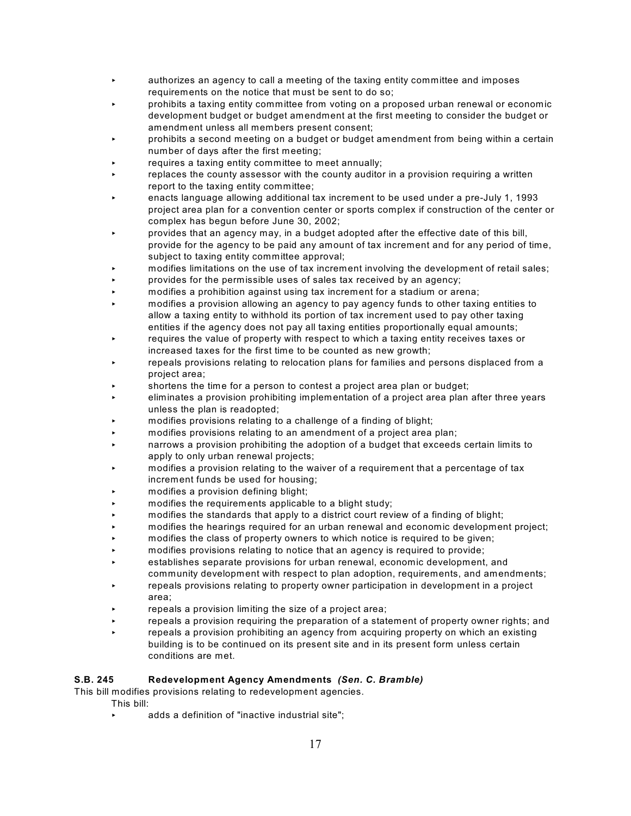- < authorizes an agency to call a meeting of the taxing entity committee and imposes requirements on the notice that must be sent to do so;
- prohibits a taxing entity committee from voting on a proposed urban renewal or economic development budget or budget amendment at the first meeting to consider the budget or amendment unless all members present consent;
- < prohibits a second meeting on a budget or budget amendment from being within a certain number of days after the first meeting;
- requires a taxing entity committee to meet annually;
- replaces the county assessor with the county auditor in a provision requiring a written report to the taxing entity committee;
- < enacts language allowing additional tax increment to be used under a pre-July 1, 1993 project area plan for a convention center or sports complex if construction of the center or complex has begun before June 30, 2002;
- < provides that an agency may, in a budget adopted after the effective date of this bill, provide for the agency to be paid any amount of tax increment and for any period of time, subject to taxing entity committee approval;
- < modifies limitations on the use of tax increment involving the development of retail sales;
- < provides for the permissible uses of sales tax received by an agency;
- < modifies a prohibition against using tax increment for a stadium or arena;
- < modifies a provision allowing an agency to pay agency funds to other taxing entities to allow a taxing entity to withhold its portion of tax increment used to pay other taxing entities if the agency does not pay all taxing entities proportionally equal amounts;
- requires the value of property with respect to which a taxing entity receives taxes or increased taxes for the first time to be counted as new growth;
- repeals provisions relating to relocation plans for families and persons displaced from a project area;
- shortens the time for a person to contest a project area plan or budget;
- < eliminates a provision prohibiting implementation of a project area plan after three years unless the plan is readopted;
- < modifies provisions relating to a challenge of a finding of blight;
- < modifies provisions relating to an amendment of a project area plan;
- < narrows a provision prohibiting the adoption of a budget that exceeds certain limits to apply to only urban renewal projects;
- < modifies a provision relating to the waiver of a requirement that a percentage of tax increment funds be used for housing;
- < modifies a provision defining blight;
- < modifies the requirements applicable to a blight study;
- < modifies the standards that apply to a district court review of a finding of blight;
- < modifies the hearings required for an urban renewal and economic development project;
- modifies the class of property owners to which notice is required to be given;
- < modifies provisions relating to notice that an agency is required to provide;
- < establishes separate provisions for urban renewal, economic development, and community development with respect to plan adoption, requirements, and amendments;
- repeals provisions relating to property owner participation in development in a project area;
- repeals a provision limiting the size of a project area;
- repeals a provision requiring the preparation of a statement of property owner rights; and
- repeals a provision prohibiting an agency from acquiring property on which an existing building is to be continued on its present site and in its present form unless certain conditions are met.

## **S.B. 245 Redevelopment Agency Amendments** *(Sen. C. Bramble)*

This bill modifies provisions relating to redevelopment agencies.

This bill:

adds a definition of "inactive industrial site";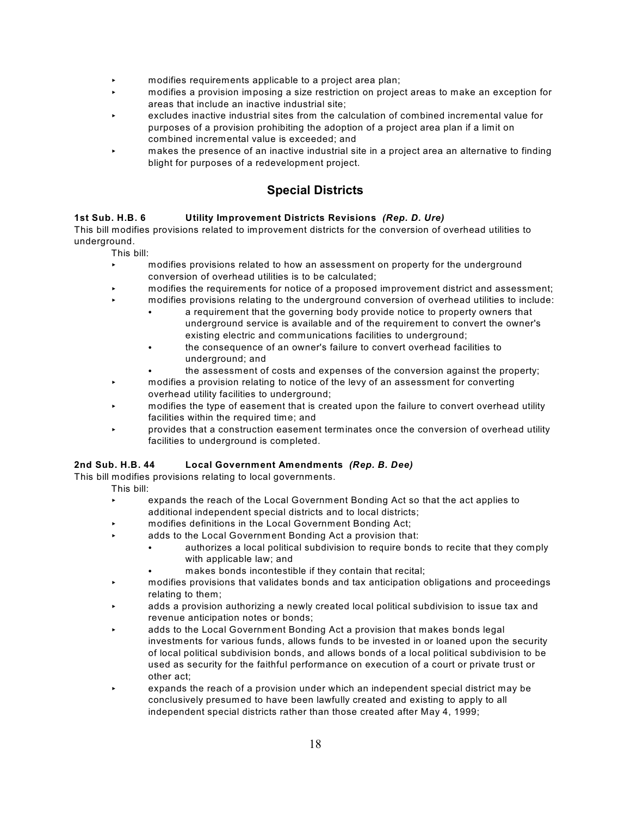- $\triangleright$  modifies requirements applicable to a project area plan;
- < modifies a provision imposing a size restriction on project areas to make an exception for areas that include an inactive industrial site;
- < excludes inactive industrial sites from the calculation of combined incremental value for purposes of a provision prohibiting the adoption of a project area plan if a limit on combined incremental value is exceeded; and
- makes the presence of an inactive industrial site in a project area an alternative to finding blight for purposes of a redevelopment project.

# **Special Districts**

#### **1st Sub. H.B. 6 Utility Improvement Districts Revisions** *(Rep. D. Ure)*

This bill modifies provisions related to improvement districts for the conversion of overhead utilities to underground.

This bill:

- < modifies provisions related to how an assessment on property for the underground conversion of overhead utilities is to be calculated;
- < modifies the requirements for notice of a proposed improvement district and assessment;
	- < modifies provisions relating to the underground conversion of overhead utilities to include:
		- a requirement that the governing body provide notice to property owners that underground service is available and of the requirement to convert the owner's existing electric and communications facilities to underground;
		- the consequence of an owner's failure to convert overhead facilities to underground; and
		- the assessment of costs and expenses of the conversion against the property;
- **EXECUTE:** modifies a provision relating to notice of the levy of an assessment for converting overhead utility facilities to underground;
- < modifies the type of easement that is created upon the failure to convert overhead utility facilities within the required time; and
- < provides that a construction easement terminates once the conversion of overhead utility facilities to underground is completed.

#### **2nd Sub. H.B. 44 Local Government Amendments** *(Rep. B. Dee)*

This bill modifies provisions relating to local governments.

- This bill:
	- < expands the reach of the Local Government Bonding Act so that the act applies to additional independent special districts and to local districts;
	- modifies definitions in the Local Government Bonding Act;
	- adds to the Local Government Bonding Act a provision that:
		- authorizes a local political subdivision to require bonds to recite that they comply with applicable law; and
			- makes bonds incontestible if they contain that recital;
	- < modifies provisions that validates bonds and tax anticipation obligations and proceedings relating to them;
	- < adds a provision authorizing a newly created local political subdivision to issue tax and revenue anticipation notes or bonds;
	- adds to the Local Government Bonding Act a provision that makes bonds legal investments for various funds, allows funds to be invested in or loaned upon the security of local political subdivision bonds, and allows bonds of a local political subdivision to be used as security for the faithful performance on execution of a court or private trust or other act;
	- < expands the reach of a provision under which an independent special district may be conclusively presumed to have been lawfully created and existing to apply to all independent special districts rather than those created after May 4, 1999;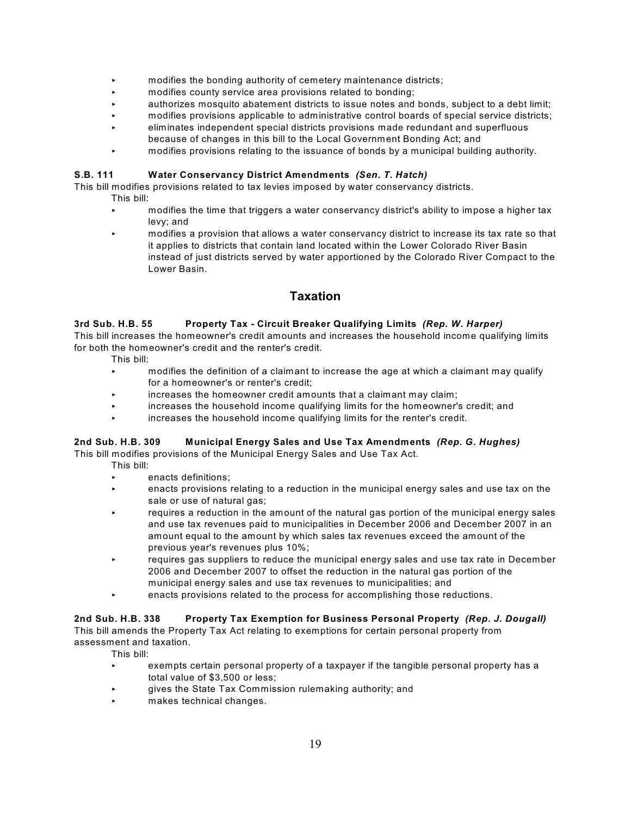- $\triangleright$  modifies the bonding authority of cemetery maintenance districts;
- modifies county service area provisions related to bonding;
- < authorizes mosquito abatement districts to issue notes and bonds, subject to a debt limit;
- < modifies provisions applicable to administrative control boards of special service districts;
- < eliminates independent special districts provisions made redundant and superfluous because of changes in this bill to the Local Government Bonding Act; and
- < modifies provisions relating to the issuance of bonds by a municipal building authority.

#### **S.B. 111 Water Conservancy District Amendments** *(Sen. T. Hatch)*

This bill modifies provisions related to tax levies imposed by water conservancy districts.

- This bill:
	- < modifies the time that triggers a water conservancy district's ability to impose a higher tax levy; and
	- < modifies a provision that allows a water conservancy district to increase its tax rate so that it applies to districts that contain land located within the Lower Colorado River Basin instead of just districts served by water apportioned by the Colorado River Compact to the Lower Basin.

# **Taxation**

#### **3rd Sub. H.B. 55 Property Tax - Circuit Breaker Qualifying Limits** *(Rep. W. Harper)*

This bill increases the homeowner's credit amounts and increases the household income qualifying limits for both the homeowner's credit and the renter's credit.

This bill:

- < modifies the definition of a claimant to increase the age at which a claimant may qualify for a homeowner's or renter's credit;
- increases the homeowner credit amounts that a claimant may claim;
- < increases the household income qualifying limits for the homeowner's credit; and
- < increases the household income qualifying limits for the renter's credit.

## **2nd Sub. H.B. 309 Municipal Energy Sales and Use Tax Amendments** *(Rep. G. Hughes)*

This bill modifies provisions of the Municipal Energy Sales and Use Tax Act.

- This bill:
	- < enacts definitions;
	- < enacts provisions relating to a reduction in the municipal energy sales and use tax on the sale or use of natural gas;
	- **EXECT** requires a reduction in the amount of the natural gas portion of the municipal energy sales and use tax revenues paid to municipalities in December 2006 and December 2007 in an amount equal to the amount by which sales tax revenues exceed the amount of the previous year's revenues plus 10%;
	- < requires gas suppliers to reduce the municipal energy sales and use tax rate in December 2006 and December 2007 to offset the reduction in the natural gas portion of the municipal energy sales and use tax revenues to municipalities; and
	- < enacts provisions related to the process for accomplishing those reductions.

# **2nd Sub. H.B. 338 Property Tax Exemption for Business Personal Property** *(Rep. J. Dougall)*

This bill amends the Property Tax Act relating to exemptions for certain personal property from assessment and taxation.

- < exempts certain personal property of a taxpayer if the tangible personal property has a total value of \$3,500 or less;
- < gives the State Tax Commission rulemaking authority; and
- makes technical changes.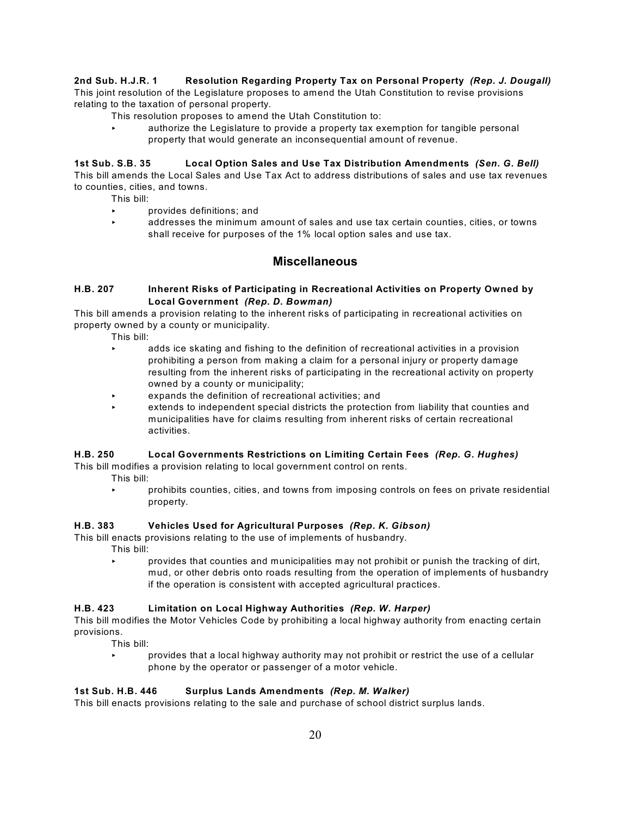#### **2nd Sub. H.J.R. 1 Resolution Regarding Property Tax on Personal Property** *(Rep. J. Dougall)*

This joint resolution of the Legislature proposes to amend the Utah Constitution to revise provisions relating to the taxation of personal property.

- This resolution proposes to amend the Utah Constitution to:
	- < authorize the Legislature to provide a property tax exemption for tangible personal property that would generate an inconsequential amount of revenue.

#### **1st Sub. S.B. 35 Local Option Sales and Use Tax Distribution Amendments** *(Sen. G. Bell)*

This bill amends the Local Sales and Use Tax Act to address distributions of sales and use tax revenues to counties, cities, and towns.

This bill:

- < provides definitions; and
- < addresses the minimum amount of sales and use tax certain counties, cities, or towns shall receive for purposes of the 1% local option sales and use tax.

# **Miscellaneous**

#### **H.B. 207 Inherent Risks of Participating in Recreational Activities on Property Owned by Local Government** *(Rep. D. Bowman)*

This bill amends a provision relating to the inherent risks of participating in recreational activities on property owned by a county or municipality.

This bill:

- < adds ice skating and fishing to the definition of recreational activities in a provision prohibiting a person from making a claim for a personal injury or property damage resulting from the inherent risks of participating in the recreational activity on property owned by a county or municipality;
- expands the definition of recreational activities; and
- < extends to independent special districts the protection from liability that counties and municipalities have for claims resulting from inherent risks of certain recreational activities.

#### **H.B. 250 Local Governments Restrictions on Limiting Certain Fees** *(Rep. G. Hughes)* This bill modifies a provision relating to local government control on rents.

This bill:

< prohibits counties, cities, and towns from imposing controls on fees on private residential property.

#### **H.B. 383 Vehicles Used for Agricultural Purposes** *(Rep. K. Gibson)*

This bill enacts provisions relating to the use of implements of husbandry.

This bill:

< provides that counties and municipalities may not prohibit or punish the tracking of dirt, mud, or other debris onto roads resulting from the operation of implements of husbandry if the operation is consistent with accepted agricultural practices.

#### **H.B. 423 Limitation on Local Highway Authorities** *(Rep. W. Harper)*

This bill modifies the Motor Vehicles Code by prohibiting a local highway authority from enacting certain provisions.

This bill:

**Part is exampled to provides that a local highway authority may not prohibit or restrict the use of a cellular** phone by the operator or passenger of a motor vehicle.

#### **1st Sub. H.B. 446 Surplus Lands Amendments** *(Rep. M. Walker)*

This bill enacts provisions relating to the sale and purchase of school district surplus lands.